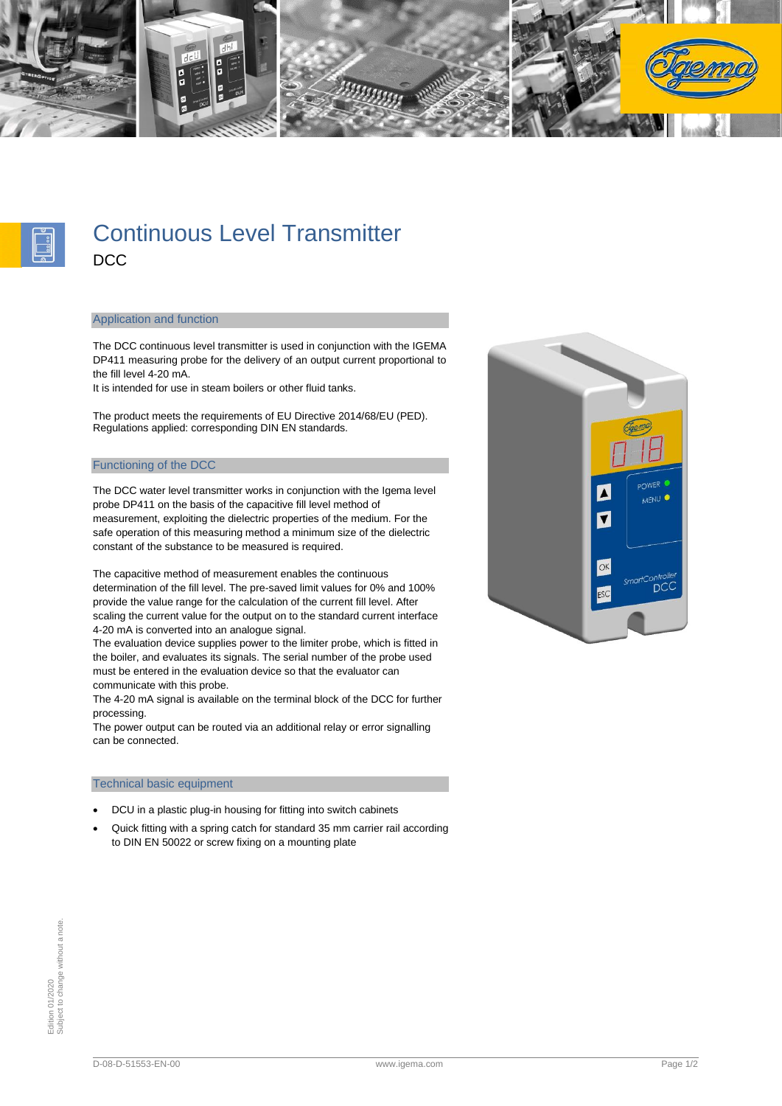



# Continuous Level Transmitter **DCC**

### Application and function

The DCC continuous level transmitter is used in conjunction with the IGEMA DP411 measuring probe for the delivery of an output current proportional to the fill level 4-20 mA.

It is intended for use in steam boilers or other fluid tanks.

The product meets the requirements of EU Directive 2014/68/EU (PED). Regulations applied: corresponding DIN EN standards.

## Functioning of the DCC

The DCC water level transmitter works in conjunction with the Igema level probe DP411 on the basis of the capacitive fill level method of measurement, exploiting the dielectric properties of the medium. For the safe operation of this measuring method a minimum size of the dielectric constant of the substance to be measured is required.

The capacitive method of measurement enables the continuous determination of the fill level. The pre-saved limit values for 0% and 100% provide the value range for the calculation of the current fill level. After scaling the current value for the output on to the standard current interface 4-20 mA is converted into an analogue signal.

The evaluation device supplies power to the limiter probe, which is fitted in the boiler, and evaluates its signals. The serial number of the probe used must be entered in the evaluation device so that the evaluator can communicate with this probe.

The 4-20 mA signal is available on the terminal block of the DCC for further processing.

The power output can be routed via an additional relay or error signalling can be connected.

### Technical basic equipment

- DCU in a plastic plug-in housing for fitting into switch cabinets
- Quick fitting with a spring catch for standard 35 mm carrier rail according to DIN EN 50022 or screw fixing on a mounting plate